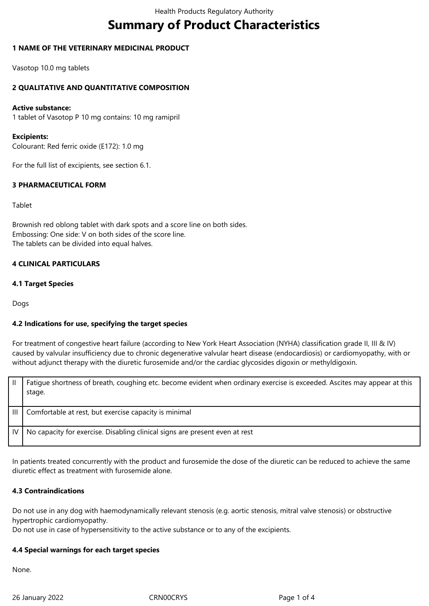# **Summary of Product Characteristics**

#### **1 NAME OF THE VETERINARY MEDICINAL PRODUCT**

Vasotop 10.0 mg tablets

#### **2 QUALITATIVE AND QUANTITATIVE COMPOSITION**

#### **Active substance:**

1 tablet of Vasotop P 10 mg contains: 10 mg ramipril

#### **Excipients:**

Colourant: Red ferric oxide (E172): 1.0 mg

For the full list of excipients, see section 6.1.

#### **3 PHARMACEUTICAL FORM**

#### Tablet

Brownish red oblong tablet with dark spots and a score line on both sides. Embossing: One side: V on both sides of the score line. The tablets can be divided into equal halves.

#### **4 CLINICAL PARTICULARS**

#### **4.1 Target Species**

Dogs

#### **4.2 Indications for use, specifying the target species**

For treatment of congestive heart failure (according to New York Heart Association (NYHA) classification grade II, III & IV) caused by valvular insufficiency due to chronic degenerative valvular heart disease (endocardiosis) or cardiomyopathy, with or without adjunct therapy with the diuretic furosemide and/or the cardiac glycosides digoxin or methyldigoxin.

| Ш     | Fatigue shortness of breath, coughing etc. become evident when ordinary exercise is exceeded. Ascites may appear at this<br>stage. |
|-------|------------------------------------------------------------------------------------------------------------------------------------|
| TIL T | Comfortable at rest, but exercise capacity is minimal                                                                              |
| IV I  | No capacity for exercise. Disabling clinical signs are present even at rest                                                        |

In patients treated concurrently with the product and furosemide the dose of the diuretic can be reduced to achieve the same diuretic effect as treatment with furosemide alone.

#### **4.3 Contraindications**

Do not use in any dog with haemodynamically relevant stenosis (e.g. aortic stenosis, mitral valve stenosis) or obstructive hypertrophic cardiomyopathy.

Do not use in case of hypersensitivity to the active substance or to any of the excipients.

#### **4.4 Special warnings for each target species**

None.

26 January 2022 CRN00CRYS Page 1 of 4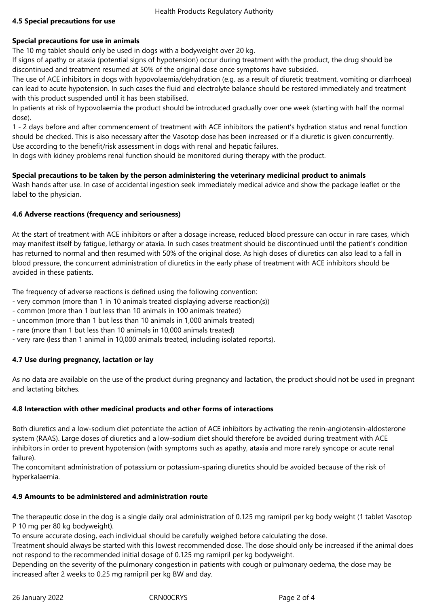#### **4.5 Special precautions for use**

#### **Special precautions for use in animals**

The 10 mg tablet should only be used in dogs with a bodyweight over 20 kg.

If signs of apathy or ataxia (potential signs of hypotension) occur during treatment with the product, the drug should be discontinued and treatment resumed at 50% of the original dose once symptoms have subsided.

The use of ACE inhibitors in dogs with hypovolaemia/dehydration (e.g. as a result of diuretic treatment, vomiting or diarrhoea) can lead to acute hypotension. In such cases the fluid and electrolyte balance should be restored immediately and treatment with this product suspended until it has been stabilised.

In patients at risk of hypovolaemia the product should be introduced gradually over one week (starting with half the normal dose).

1 - 2 days before and after commencement of treatment with ACE inhibitors the patient's hydration status and renal function should be checked. This is also necessary after the Vasotop dose has been increased or if a diuretic is given concurrently. Use according to the benefit/risk assessment in dogs with renal and hepatic failures.

In dogs with kidney problems renal function should be monitored during therapy with the product.

#### **Special precautions to be taken by the person administering the veterinary medicinal product to animals**

Wash hands after use. In case of accidental ingestion seek immediately medical advice and show the package leaflet or the label to the physician.

#### **4.6 Adverse reactions (frequency and seriousness)**

At the start of treatment with ACE inhibitors or after a dosage increase, reduced blood pressure can occur in rare cases, which may manifest itself by fatigue, lethargy or ataxia. In such cases treatment should be discontinued until the patient's condition has returned to normal and then resumed with 50% of the original dose. As high doses of diuretics can also lead to a fall in blood pressure, the concurrent administration of diuretics in the early phase of treatment with ACE inhibitors should be avoided in these patients.

The frequency of adverse reactions is defined using the following convention:

- very common (more than 1 in 10 animals treated displaying adverse reaction(s))
- common (more than 1 but less than 10 animals in 100 animals treated)
- uncommon (more than 1 but less than 10 animals in 1,000 animals treated)
- rare (more than 1 but less than 10 animals in 10,000 animals treated)
- very rare (less than 1 animal in 10,000 animals treated, including isolated reports).

#### **4.7 Use during pregnancy, lactation or lay**

As no data are available on the use of the product during pregnancy and lactation, the product should not be used in pregnant and lactating bitches.

#### **4.8 Interaction with other medicinal products and other forms of interactions**

Both diuretics and a low-sodium diet potentiate the action of ACE inhibitors by activating the renin-angiotensin-aldosterone system (RAAS). Large doses of diuretics and a low-sodium diet should therefore be avoided during treatment with ACE inhibitors in order to prevent hypotension (with symptoms such as apathy, ataxia and more rarely syncope or acute renal failure).

The concomitant administration of potassium or potassium-sparing diuretics should be avoided because of the risk of hyperkalaemia.

#### **4.9 Amounts to be administered and administration route**

The therapeutic dose in the dog is a single daily oral administration of 0.125 mg ramipril per kg body weight (1 tablet Vasotop P 10 mg per 80 kg bodyweight).

To ensure accurate dosing, each individual should be carefully weighed before calculating the dose.

Treatment should always be started with this lowest recommended dose. The dose should only be increased if the animal does not respond to the recommended initial dosage of 0.125 mg ramipril per kg bodyweight.

Depending on the severity of the pulmonary congestion in patients with cough or pulmonary oedema, the dose may be increased after 2 weeks to 0.25 mg ramipril per kg BW and day.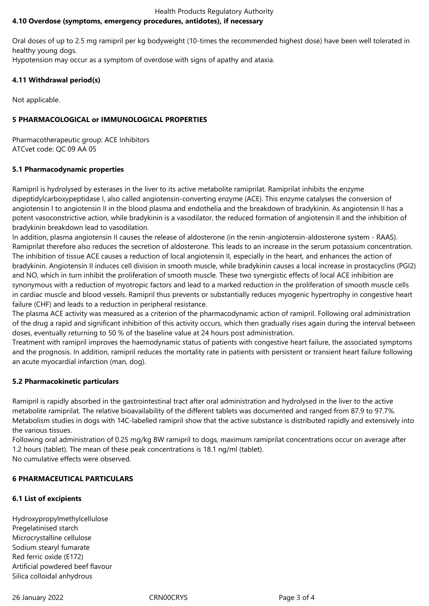#### Health Products Regulatory Authority **4.10 Overdose (symptoms, emergency procedures, antidotes), if necessary**

Oral doses of up to 2.5 mg ramipril per kg bodyweight (10-times the recommended highest dose) have been well tolerated in healthy young dogs.

Hypotension may occur as a symptom of overdose with signs of apathy and ataxia.

## **4.11 Withdrawal period(s)**

Not applicable.

## **5 PHARMACOLOGICAL or IMMUNOLOGICAL PROPERTIES**

Pharmacotherapeutic group: ACE Inhibitors ATCvet code: QC 09 AA 05

## **5.1 Pharmacodynamic properties**

Ramipril is hydrolysed by esterases in the liver to its active metabolite ramiprilat. Ramiprilat inhibits the enzyme dipeptidylcarboxypeptidase I, also called angiotensin-converting enzyme (ACE). This enzyme catalyses the conversion of angiotensin I to angiotensin II in the blood plasma and endothelia and the breakdown of bradykinin. As angiotensin II has a potent vasoconstrictive action, while bradykinin is a vasodilator, the reduced formation of angiotensin II and the inhibition of bradykinin breakdown lead to vasodilation.

In addition, plasma angiotensin II causes the release of aldosterone (in the renin-angiotensin-aldosterone system - RAAS). Ramiprilat therefore also reduces the secretion of aldosterone. This leads to an increase in the serum potassium concentration. The inhibition of tissue ACE causes a reduction of local angiotensin II, especially in the heart, and enhances the action of bradykinin. Angiotensin II induces cell division in smooth muscle, while bradykinin causes a local increase in prostacyclins (PGI2) and NO, which in turn inhibit the proliferation of smooth muscle. These two synergistic effects of local ACE inhibition are synonymous with a reduction of myotropic factors and lead to a marked reduction in the proliferation of smooth muscle cells in cardiac muscle and blood vessels. Ramipril thus prevents or substantially reduces myogenic hypertrophy in congestive heart failure (CHF) and leads to a reduction in peripheral resistance.

The plasma ACE activity was measured as a criterion of the pharmacodynamic action of ramipril. Following oral administration of the drug a rapid and significant inhibition of this activity occurs, which then gradually rises again during the interval between doses, eventually returning to 50 % of the baseline value at 24 hours post administration.

Treatment with ramipril improves the haemodynamic status of patients with congestive heart failure, the associated symptoms and the prognosis. In addition, ramipril reduces the mortality rate in patients with persistent or transient heart failure following an acute myocardial infarction (man, dog).

## **5.2 Pharmacokinetic particulars**

Ramipril is rapidly absorbed in the gastrointestinal tract after oral administration and hydrolysed in the liver to the active metabolite ramiprilat. The relative bioavailability of the different tablets was documented and ranged from 87.9 to 97.7%. Metabolism studies in dogs with 14C-labelled ramipril show that the active substance is distributed rapidly and extensively into the various tissues.

Following oral administration of 0.25 mg/kg BW ramipril to dogs, maximum ramiprilat concentrations occur on average after 1.2 hours (tablet). The mean of these peak concentrations is 18.1 ng/ml (tablet). No cumulative effects were observed.

## **6 PHARMACEUTICAL PARTICULARS**

## **6.1 List of excipients**

Hydroxypropylmethylcellulose Pregelatinised starch Microcrystalline cellulose Sodium stearyl fumarate Red ferric oxide (E172) Artificial powdered beef flavour Silica colloidal anhydrous